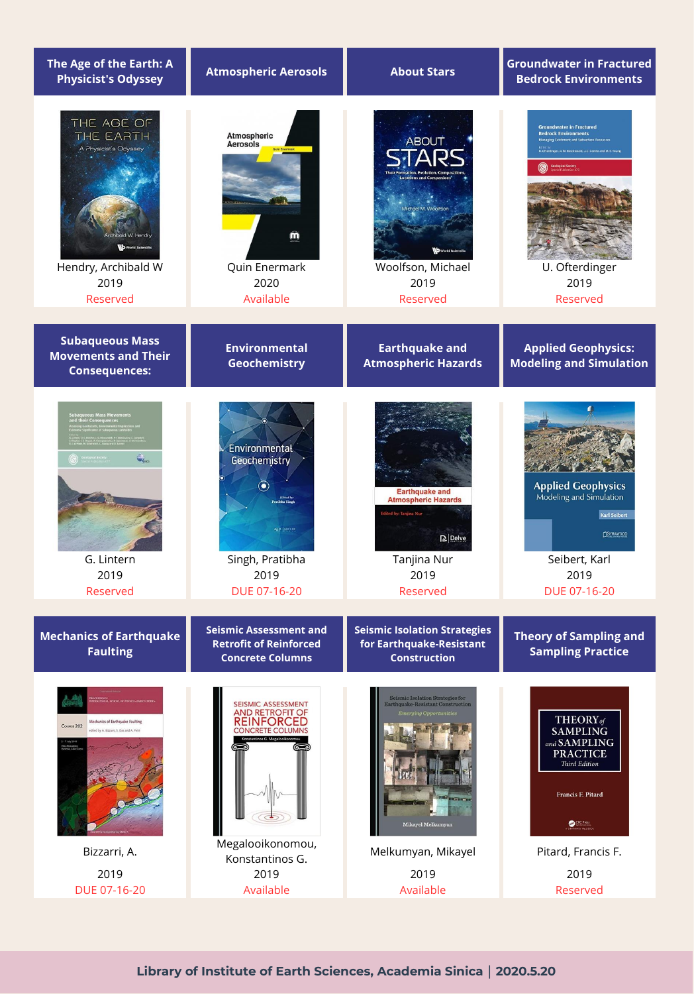| The Age of the Earth: A<br><b>Physicist's Odyssey</b>                                                                | <b>Atmospheric Aerosols</b>                                                                                                                 | <b>About Stars</b>                                                                                                                                        | <b>Groundwater in Fractured</b><br><b>Bedrock Environments</b>                                                                                                                                       |
|----------------------------------------------------------------------------------------------------------------------|---------------------------------------------------------------------------------------------------------------------------------------------|-----------------------------------------------------------------------------------------------------------------------------------------------------------|------------------------------------------------------------------------------------------------------------------------------------------------------------------------------------------------------|
| THE AGE OF<br>THE EARTH<br>A Physicist's Odyssey<br>World Scientific<br>Hendry, Archibald W<br>2019<br>Reserved      | <b>Atmospheric</b><br><b>Aerosols</b><br>m<br>Quin Enermark<br>2020<br>Available                                                            | <b>ABOUT</b><br><b>Locations and Companion</b><br>Michael M. Woolfson<br>Woolfson, Michael<br>2019<br>Reserved                                            | <b>Groundwater in Fractured</b><br><b>Bedrock Environments</b><br>Managing Catchment and Subsurface Resources<br>er, A.M. MacDonald, J.C. Comte and M.E. Young<br>U. Ofterdinger<br>2019<br>Reserved |
| <b>Subaqueous Mass</b><br><b>Movements and Their</b><br><b>Consequences:</b>                                         | <b>Environmental</b><br>Geochemistry                                                                                                        | <b>Earthquake and</b><br><b>Atmospheric Hazards</b>                                                                                                       | <b>Applied Geophysics:</b><br><b>Modeling and Simulation</b>                                                                                                                                         |
| $\hat{\mathbf{Q}}_{\text{loc}}$<br>G. Lintern<br>2019<br>Reserved                                                    | Environmental<br>Geochemistry<br>Edited by<br><b>John Sinet</b><br><b>SAP ARCLES</b><br>Singh, Pratibha<br>2019<br>DUE 07-16-20             | <b>Earthquake and</b><br><b>Atmospheric Hazards</b><br><b>Edited by: Tanjina Nur</b><br>$\mathbf{D}$ Delve<br>Tanjina Nur<br>2019<br>Reserved             | <b>Applied Geophysics</b><br>Modeling and Simulation<br><b>Karl Seibert</b><br>SYRAWOOD<br>Seibert, Karl<br>2019<br>DUE 07-16-20                                                                     |
| <b>Mechanics of Earthquake</b><br><b>Faulting</b>                                                                    | <b>Seismic Assessment and</b><br><b>Retrofit of Reinforced</b><br><b>Concrete Columns</b>                                                   | <b>Seismic Isolation Strategies</b><br>for Earthquake-Resistant<br><b>Construction</b>                                                                    | <b>Theory of Sampling and</b><br><b>Sampling Practice</b>                                                                                                                                            |
| Mechanics of Earthquake Faulting<br>Course 202<br>edited by A. Bizzarri, S. Das and A. Petri<br>Bizzarri, A.<br>2019 | <b>SEISMIC ASSESSMENT</b><br><b>AND RETROFIT OF</b><br>REINFORCED<br><b>CONCRETE COLUMNS</b><br>Megalooikonomou,<br>Konstantinos G.<br>2019 | Seismic Isolation Strategies for<br>Earthquake-Resistant Construction<br><b>Emerging Opportunities</b><br>Mikayel Melkumyan<br>Melkumyan, Mikayel<br>2019 | THEORY <sub>of</sub><br><b>SAMPLING</b><br>and SAMPLING<br><b>PRACTICE</b><br><b>Third Edition</b><br>Francis F. Pitard<br><b>CRC</b> Press<br>Pitard, Francis F.<br>2019                            |
| DUE 07-16-20                                                                                                         | Available                                                                                                                                   | Available                                                                                                                                                 | Reserved                                                                                                                                                                                             |

**Library of Institute of Earth Sciences, Academia Sinica|2020.5.20**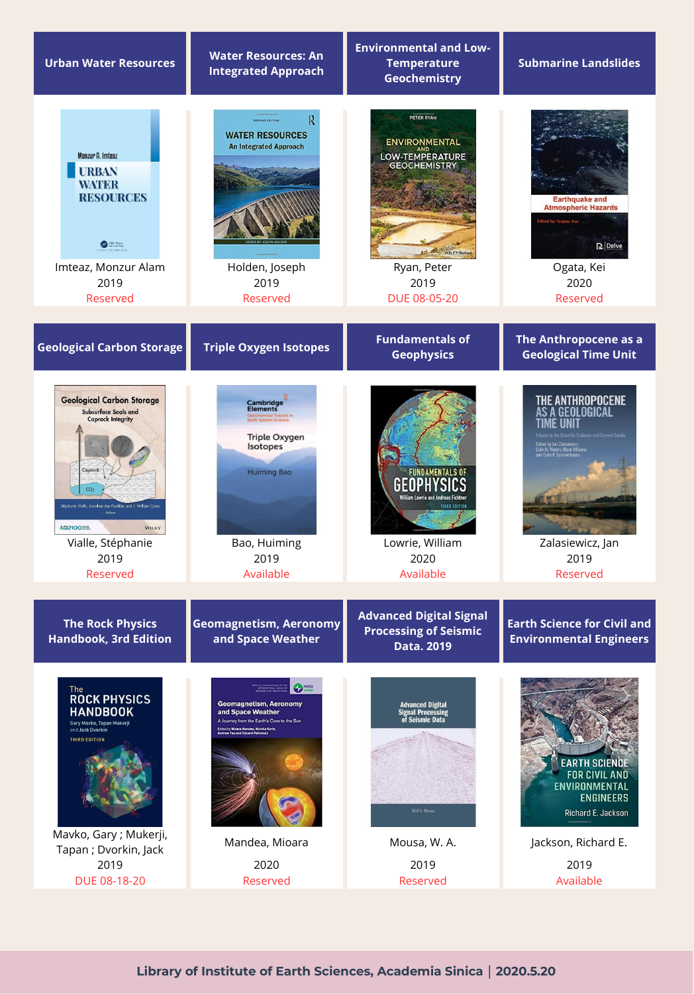| <b>Urban Water Resources</b>                                                                                                                                                                                                                              | <b>Water Resources: An</b><br><b>Integrated Approach</b>                                                                                                                               | <b>Environmental and Low-</b><br><b>Temperature</b><br>Geochemistry                                                               | <b>Submarine Landslides</b>                                                                                                                                                                        |
|-----------------------------------------------------------------------------------------------------------------------------------------------------------------------------------------------------------------------------------------------------------|----------------------------------------------------------------------------------------------------------------------------------------------------------------------------------------|-----------------------------------------------------------------------------------------------------------------------------------|----------------------------------------------------------------------------------------------------------------------------------------------------------------------------------------------------|
| <b>Monzur A. Imteaz</b><br><b>URBAN</b><br><b>WATER</b><br><b>RESOURCES</b><br><b>GBP</b> CRC Press<br>Imteaz, Monzur Alam<br>2019<br>Reserved                                                                                                            | R<br><b>SECOND EDITION</b><br><b>WATER RESOURCES</b><br><b>An Integrated Approach</b><br>Holden, Joseph<br>2019<br>Reserved                                                            | PETER RYAN<br><b>ENVIRONMENTAL</b><br>LOW-TEMPERATURE<br><b>GEOCHEMISTRY</b><br>WILEY Back<br>Ryan, Peter<br>2019<br>DUE 08-05-20 | <b>Earthquake and</b><br><b>Atmospheric Hazards</b><br><b>Edited by: Tanjina Nur</b><br>$\mathbf{D}$ Delve<br>Ogata, Kei<br>2020<br>Reserved                                                       |
| <b>Geological Carbon Storage</b>                                                                                                                                                                                                                          | <b>Triple Oxygen Isotopes</b>                                                                                                                                                          | <b>Fundamentals of</b><br><b>Geophysics</b>                                                                                       | The Anthropocene as a<br><b>Geological Time Unit</b>                                                                                                                                               |
| <b>Geological Carbon Storage</b><br>Subsurface Seals and<br><b>Caprock Integrity</b><br>Caprock<br>CO <sub>2</sub><br>Stéphanie Vialle, Jonathan Ajo-Franklin, and J. William Carey<br>AGU100EEL<br>WILEY<br>Vialle, Stéphanie<br>2019<br><b>Reserved</b> | Cambridge<br>Elements<br><b>hemical Tracers in</b><br>System Science<br><b>Triple Oxygen</b><br>Isotopes<br><b>Huiming Bao</b><br>Bao, Huiming<br>2019<br>Available                    | <b>FUNDAMENTALS O</b><br>Villiam Lowrie and Andreas Fichtne<br>Lowrie, William<br>2020<br>Available                               | THE ANTHROPOCENE<br>GEOLOGICAL<br>Guide to the Scientific Evidence and Current Debate<br>.<br>Idited by Jan Zalasiewicz,<br>Colin N. Waters, Mark William:<br>Zalasiewicz, Jan<br>2019<br>Reserved |
| <b>The Rock Physics</b><br><b>Handbook, 3rd Edition</b>                                                                                                                                                                                                   | <b>Geomagnetism, Aeronomy</b><br>and Space Weather                                                                                                                                     | <b>Advanced Digital Signal</b><br><b>Processing of Seismic</b><br>Data. 2019                                                      | <b>Earth Science for Civil and</b><br><b>Environmental Engineers</b>                                                                                                                               |
| The<br><b>ROCK PHYSICS</b><br><b>HANDBOOK</b><br>Gary Mavko, Tapan Mukerji<br>and Jack Dvorkin<br><b>THIRD EDITION</b><br>Mavko, Gary; Mukerji,<br>Tapan; Dvorkin, Jack<br>2019                                                                           | <b>O</b> luggi<br><b>Geomagnetism, Aeronomy</b><br>and Space Weather<br>A Journey from the Earth's Core to the Sun<br>Edited by Mioara Mandea, Monika Korte,<br>Mandea, Mioara<br>2020 | <b>Advanced Digital<br/>Signal Processing</b><br>of Seismic Data<br>Wail A. Mousa<br>Mousa, W. A.<br>2019                         | <b>EARTH SCIENCE</b><br><b>FOR CIVIL AND</b><br>ENVIRONMENTAL<br><b>ENGINEERS</b><br>Richard E. Jackson<br>Jackson, Richard E.<br>2019                                                             |
| DUE 08-18-20                                                                                                                                                                                                                                              | Reserved                                                                                                                                                                               | Reserved                                                                                                                          | Available                                                                                                                                                                                          |